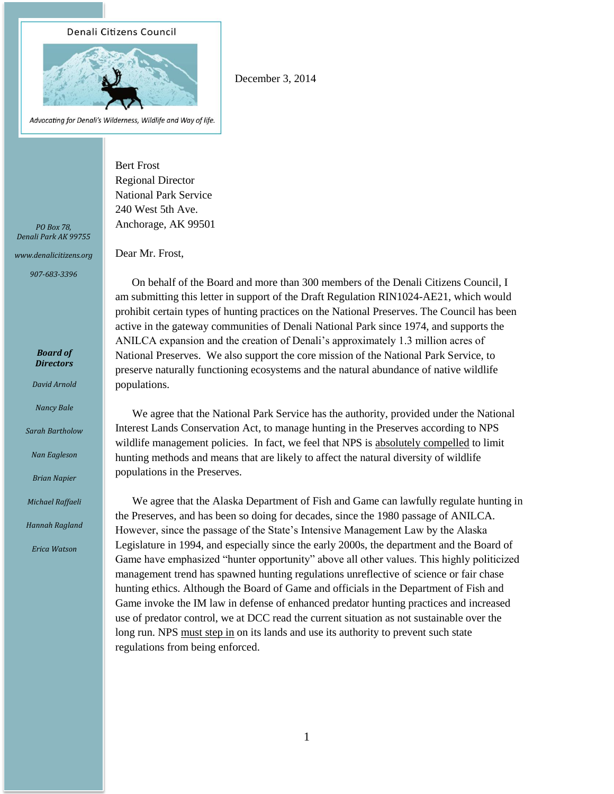## Denali Citizens Council



Advocating for Denali's Wilderness, Wildlife and Way of life.

December 3, 2014

Bert Frost Regional Director National Park Service 240 West 5th Ave. Anchorage, AK 99501

Dear Mr. Frost,

*PO Box 78, Denali Park AK 99755*

*www.denalicitizens.org*

*907-683-3396*

*Board of Directors*

*David Arnold*

*Nancy Bale*

*Sarah Bartholow*

*Nan Eagleson*

*Brian Napier*

*Michael Raffaeli*

*Hannah Ragland*

*Erica Watson*

 On behalf of the Board and more than 300 members of the Denali Citizens Council, I am submitting this letter in support of the Draft Regulation RIN1024-AE21, which would prohibit certain types of hunting practices on the National Preserves. The Council has been active in the gateway communities of Denali National Park since 1974, and supports the ANILCA expansion and the creation of Denali's approximately 1.3 million acres of National Preserves. We also support the core mission of the National Park Service, to preserve naturally functioning ecosystems and the natural abundance of native wildlife populations.

We agree that the National Park Service has the authority, provided under the National Interest Lands Conservation Act, to manage hunting in the Preserves according to NPS wildlife management policies. In fact, we feel that NPS is absolutely compelled to limit hunting methods and means that are likely to affect the natural diversity of wildlife populations in the Preserves.

We agree that the Alaska Department of Fish and Game can lawfully regulate hunting in the Preserves, and has been so doing for decades, since the 1980 passage of ANILCA. However, since the passage of the State's Intensive Management Law by the Alaska Legislature in 1994, and especially since the early 2000s, the department and the Board of Game have emphasized "hunter opportunity" above all other values. This highly politicized management trend has spawned hunting regulations unreflective of science or fair chase hunting ethics. Although the Board of Game and officials in the Department of Fish and Game invoke the IM law in defense of enhanced predator hunting practices and increased use of predator control, we at DCC read the current situation as not sustainable over the long run. NPS must step in on its lands and use its authority to prevent such state regulations from being enforced.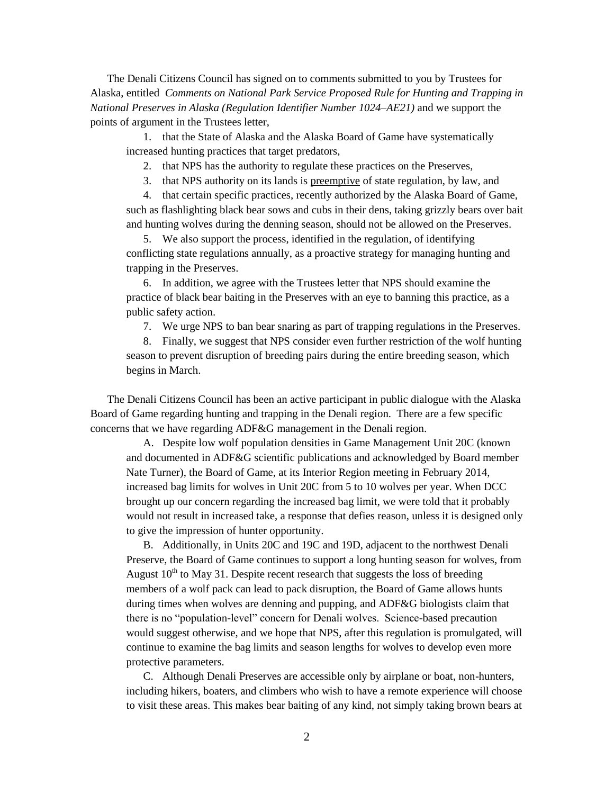The Denali Citizens Council has signed on to comments submitted to you by Trustees for Alaska, entitled *Comments on National Park Service Proposed Rule for Hunting and Trapping in National Preserves in Alaska (Regulation Identifier Number 1024–AE21)* and we support the points of argument in the Trustees letter,

1. that the State of Alaska and the Alaska Board of Game have systematically increased hunting practices that target predators,

2. that NPS has the authority to regulate these practices on the Preserves,

3. that NPS authority on its lands is preemptive of state regulation, by law, and

4. that certain specific practices, recently authorized by the Alaska Board of Game, such as flashlighting black bear sows and cubs in their dens, taking grizzly bears over bait and hunting wolves during the denning season, should not be allowed on the Preserves.

5. We also support the process, identified in the regulation, of identifying conflicting state regulations annually, as a proactive strategy for managing hunting and trapping in the Preserves.

6. In addition, we agree with the Trustees letter that NPS should examine the practice of black bear baiting in the Preserves with an eye to banning this practice, as a public safety action.

7. We urge NPS to ban bear snaring as part of trapping regulations in the Preserves.

8. Finally, we suggest that NPS consider even further restriction of the wolf hunting season to prevent disruption of breeding pairs during the entire breeding season, which begins in March.

The Denali Citizens Council has been an active participant in public dialogue with the Alaska Board of Game regarding hunting and trapping in the Denali region. There are a few specific concerns that we have regarding ADF&G management in the Denali region.

A. Despite low wolf population densities in Game Management Unit 20C (known and documented in ADF&G scientific publications and acknowledged by Board member Nate Turner), the Board of Game, at its Interior Region meeting in February 2014, increased bag limits for wolves in Unit 20C from 5 to 10 wolves per year. When DCC brought up our concern regarding the increased bag limit, we were told that it probably would not result in increased take, a response that defies reason, unless it is designed only to give the impression of hunter opportunity.

B. Additionally, in Units 20C and 19C and 19D, adjacent to the northwest Denali Preserve, the Board of Game continues to support a long hunting season for wolves, from August  $10^{th}$  to May 31. Despite recent research that suggests the loss of breeding members of a wolf pack can lead to pack disruption, the Board of Game allows hunts during times when wolves are denning and pupping, and ADF&G biologists claim that there is no "population-level" concern for Denali wolves. Science-based precaution would suggest otherwise, and we hope that NPS, after this regulation is promulgated, will continue to examine the bag limits and season lengths for wolves to develop even more protective parameters.

C. Although Denali Preserves are accessible only by airplane or boat, non-hunters, including hikers, boaters, and climbers who wish to have a remote experience will choose to visit these areas. This makes bear baiting of any kind, not simply taking brown bears at